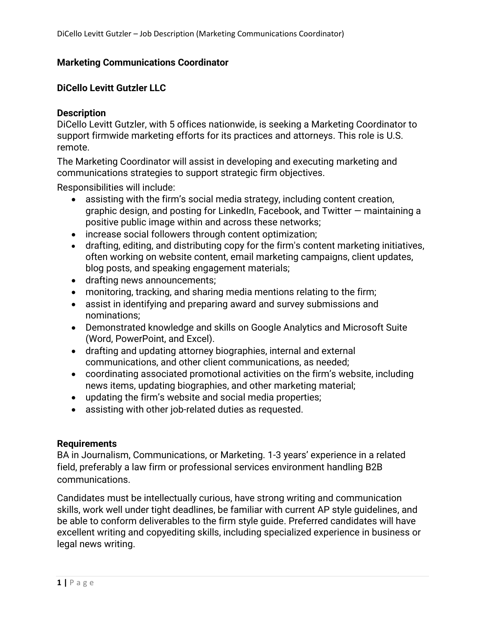## **Marketing Communications Coordinator**

### **DiCello Levitt Gutzler LLC**

#### **Description**

DiCello Levitt Gutzler, with 5 offices nationwide, is seeking a Marketing Coordinator to support firmwide marketing efforts for its practices and attorneys. This role is U.S. remote.

The Marketing Coordinator will assist in developing and executing marketing and communications strategies to support strategic firm objectives.

Responsibilities will include:

- assisting with the firm's social media strategy, including content creation, graphic design, and posting for LinkedIn, Facebook, and Twitter — maintaining a positive public image within and across these networks;
- increase social followers through content optimization;
- drafting, editing, and distributing copy for the firm's content marketing initiatives, often working on website content, email marketing campaigns, client updates, blog posts, and speaking engagement materials;
- drafting news announcements;
- monitoring, tracking, and sharing media mentions relating to the firm;
- assist in identifying and preparing award and survey submissions and nominations;
- Demonstrated knowledge and skills on Google Analytics and Microsoft Suite (Word, PowerPoint, and Excel).
- drafting and updating attorney biographies, internal and external communications, and other client communications, as needed;
- coordinating associated promotional activities on the firm's website, including news items, updating biographies, and other marketing material;
- updating the firm's website and social media properties;
- assisting with other job-related duties as requested.

#### **Requirements**

BA in Journalism, Communications, or Marketing. 1-3 years' experience in a related field, preferably a law firm or professional services environment handling B2B communications.

Candidates must be intellectually curious, have strong writing and communication skills, work well under tight deadlines, be familiar with current AP style guidelines, and be able to conform deliverables to the firm style guide. Preferred candidates will have excellent writing and copyediting skills, including specialized experience in business or legal news writing.